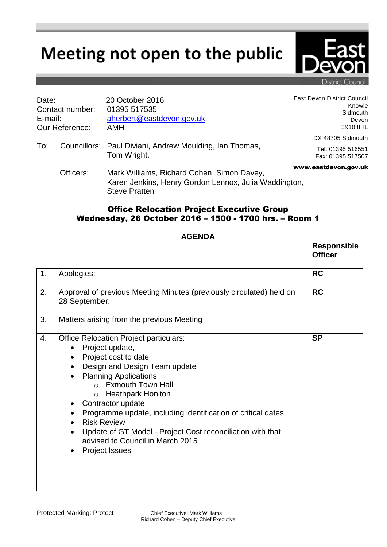## Meeting not open to the public

| Date:<br>Contact number:<br>E-mail:<br><b>Our Reference:</b> |           | 20 October 2016<br>01395 517535<br>aherbert@eastdevon.gov.uk<br>AMH                                                         | East Devon District Council<br>Knowle<br>Sidmouth<br>Devon<br><b>EX10 8HL</b> |
|--------------------------------------------------------------|-----------|-----------------------------------------------------------------------------------------------------------------------------|-------------------------------------------------------------------------------|
| To:                                                          |           | Councillors: Paul Diviani, Andrew Moulding, Ian Thomas,<br>Tom Wright.                                                      | DX 48705 Sidmouth<br>Tel: 01395 516551<br>Fax: 01395 517507                   |
|                                                              | Officers: | Mark Williams, Richard Cohen, Simon Davey,<br>Karen Jenkins, Henry Gordon Lennox, Julia Waddington,<br><b>Steve Pratten</b> | www.eastdevon.gov.uk                                                          |

## Office Relocation Project Executive Group Wednesday, 26 October 2016 – 1500 - 1700 hrs. – Room 1

## **AGENDA**

**Responsible Officer**

| 1. | Apologies:                                                                                                                                                                                                                                                                                                                                                                                                                                                                            | <b>RC</b> |
|----|---------------------------------------------------------------------------------------------------------------------------------------------------------------------------------------------------------------------------------------------------------------------------------------------------------------------------------------------------------------------------------------------------------------------------------------------------------------------------------------|-----------|
| 2. | Approval of previous Meeting Minutes (previously circulated) held on<br>28 September.                                                                                                                                                                                                                                                                                                                                                                                                 | <b>RC</b> |
| 3. | Matters arising from the previous Meeting                                                                                                                                                                                                                                                                                                                                                                                                                                             |           |
| 4. | <b>Office Relocation Project particulars:</b><br>Project update,<br>Project cost to date<br>Design and Design Team update<br><b>Planning Applications</b><br>o Exmouth Town Hall<br>o Heathpark Honiton<br>Contractor update<br>Programme update, including identification of critical dates.<br><b>Risk Review</b><br>$\bullet$<br>Update of GT Model - Project Cost reconciliation with that<br>$\bullet$<br>advised to Council in March 2015<br><b>Project Issues</b><br>$\bullet$ | <b>SP</b> |